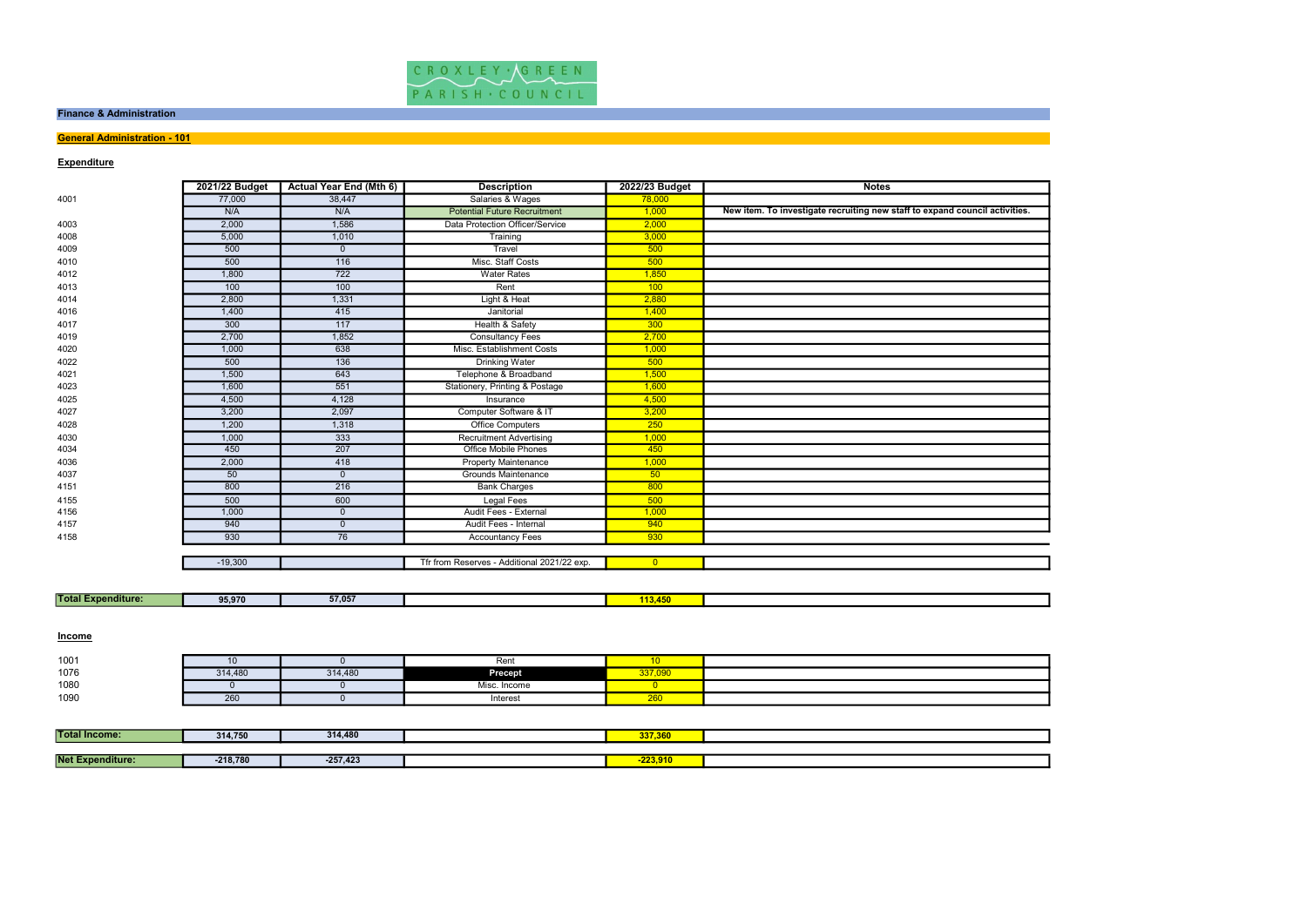

### Finance & Administration

## **General Administration - 101**

| <b>Expenditure</b>        |                |                                |                                             |                         |                                                                             |
|---------------------------|----------------|--------------------------------|---------------------------------------------|-------------------------|-----------------------------------------------------------------------------|
|                           | 2021/22 Budget | <b>Actual Year End (Mth 6)</b> | <b>Description</b>                          | 2022/23 Budget          | <b>Notes</b>                                                                |
| 4001                      | 77,000         | 38,447                         | Salaries & Wages                            | 78,000                  |                                                                             |
|                           | N/A            | N/A                            | <b>Potential Future Recruitment</b>         | 1,000                   | New item. To investigate recruiting new staff to expand council activities. |
| 4003                      | 2,000          | 1,586                          | Data Protection Officer/Service             | 2,000                   |                                                                             |
| 4008                      | 5,000          | 1,010                          | Training                                    | 3,000                   |                                                                             |
| 4009                      | 500            | $\overline{0}$                 | Travel                                      | 500                     |                                                                             |
| 4010                      | 500            | 116                            | Misc. Staff Costs                           | 500                     |                                                                             |
| 4012                      | 1,800          | $\overline{722}$               | <b>Water Rates</b>                          | 1,850                   |                                                                             |
| 4013                      | 100            | 100                            | Rent                                        | 100                     |                                                                             |
| 4014                      | 2,800          | 1,331                          | Light & Heat                                | 2,880                   |                                                                             |
| 4016                      | 1,400          | 415                            | Janitorial                                  | 1,400                   |                                                                             |
| 4017                      | 300            | 117                            | Health & Safety                             | 300                     |                                                                             |
| 4019                      | 2,700          | 1,852                          | <b>Consultancy Fees</b>                     | 2,700                   |                                                                             |
| 4020                      | 1,000          | 638                            | Misc. Establishment Costs                   | 1,000                   |                                                                             |
| 4022                      | 500            | 136                            | <b>Drinking Water</b>                       | 500                     |                                                                             |
| 4021                      | 1,500          | 643                            | Telephone & Broadband                       | 1,500                   |                                                                             |
| 4023                      | 1,600          | 551                            | Stationery, Printing & Postage              | 1,600                   |                                                                             |
| 4025                      | 4,500          | 4,128                          | Insurance                                   | 4,500                   |                                                                             |
| 4027                      | 3,200          | 2,097                          | Computer Software & IT                      | 3,200                   |                                                                             |
| 4028                      | 1,200          | 1,318                          | <b>Office Computers</b>                     | 250                     |                                                                             |
| 4030                      | 1,000          | 333                            | <b>Recruitment Advertising</b>              | 1,000                   |                                                                             |
| 4034                      | 450            | 207                            | <b>Office Mobile Phones</b>                 | 450                     |                                                                             |
| 4036                      | 2,000          | 418                            | <b>Property Maintenance</b>                 | 1,000                   |                                                                             |
| 4037                      | 50             | $\overline{0}$                 | <b>Grounds Maintenance</b>                  | 50                      |                                                                             |
| 4151                      | 800            | 216                            | <b>Bank Charges</b>                         | 800                     |                                                                             |
| 4155                      | 500            | 600                            | <b>Legal Fees</b>                           | 500                     |                                                                             |
| 4156                      | 1,000          | $\mathbf 0$                    | Audit Fees - External                       | 1,000                   |                                                                             |
| 4157                      | 940            | $\mathbf 0$                    | Audit Fees - Internal                       | 940                     |                                                                             |
| 4158                      | 930            | 76                             | <b>Accountancy Fees</b>                     | 930                     |                                                                             |
|                           |                |                                |                                             |                         |                                                                             |
|                           | $-19,300$      |                                | Tfr from Reserves - Additional 2021/22 exp. | $\overline{0}$          |                                                                             |
|                           |                |                                |                                             |                         |                                                                             |
|                           |                |                                |                                             |                         |                                                                             |
| <b>Total Expenditure:</b> | 95,970         | 57,057                         |                                             | 113,450                 |                                                                             |
|                           |                |                                |                                             |                         |                                                                             |
| <b>Income</b>             |                |                                |                                             |                         |                                                                             |
| 1001                      | 10             | $\mathbf{0}$                   | Rent                                        | 10                      |                                                                             |
| 1076                      | 314,480        | 314,480                        | <b>Precept</b>                              | 337,090                 |                                                                             |
| 1080                      | $\overline{0}$ | $\overline{0}$                 | Misc. Income                                | $\overline{\mathbf{0}}$ |                                                                             |
| 1090                      | 260            | $\mathbf{0}$                   | Interest                                    | 260                     |                                                                             |
|                           |                |                                |                                             |                         |                                                                             |
| <b>Total Income:</b>      | 314,750        | 314,480                        |                                             | 337,360                 |                                                                             |
|                           |                |                                |                                             |                         |                                                                             |
| Not Expondituro:          | 240,700        | $257.422$                      |                                             | 22200                   |                                                                             |

| <b>Total</b><br>:xpenditure: | $-0.000$<br>95,970 | EZ AFT<br>.cu. .c | . |  |
|------------------------------|--------------------|-------------------|---|--|
|                              |                    |                   |   |  |

| 1001 |         |         | Rent             |             |  |
|------|---------|---------|------------------|-------------|--|
| 1076 | 314,480 | 314,480 | <b>Precept</b>   | 337.090     |  |
| 1080 |         |         | Misc<br>. Income |             |  |
| 1090 | 260     |         | Interest         | _____<br>∠∪ |  |

| <b>Total Income:</b>    | 314,750    | 314,480    | 337,360    |  |
|-------------------------|------------|------------|------------|--|
|                         |            |            |            |  |
| <b>Net Expenditure:</b> | $-218,780$ | $-257,423$ | $-223,910$ |  |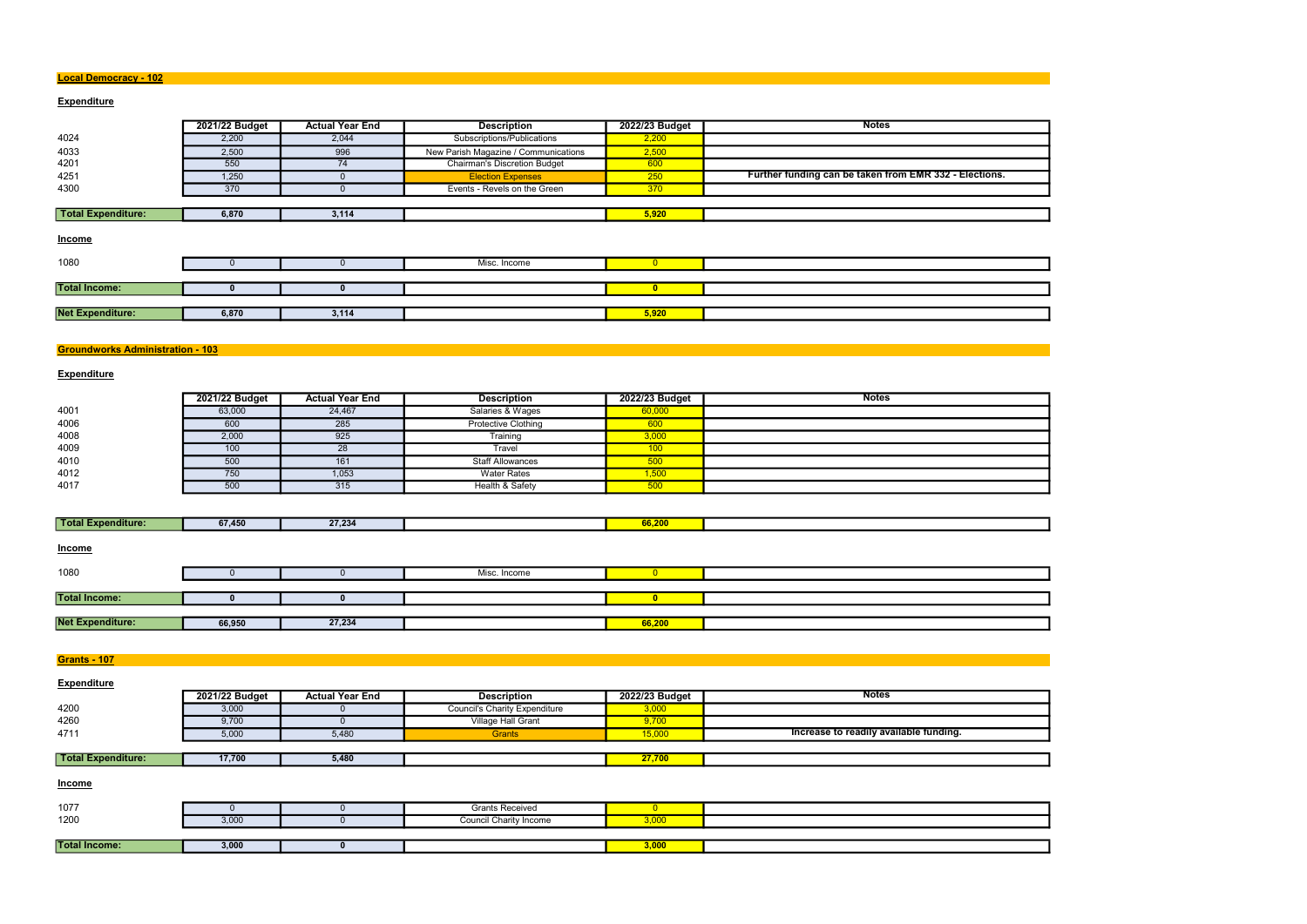### Local Democracy - 102

## **Expenditure**

|                         | 2021/22 Budget | <b>Actual Year End</b> | <b>Description</b>                   | 2022/23 Budget | <b>Notes</b>                                           |
|-------------------------|----------------|------------------------|--------------------------------------|----------------|--------------------------------------------------------|
| 4024                    | 2,200          | 2,044                  | Subscriptions/Publications           | 2,200          |                                                        |
| 4033                    | 2,500          | 996                    | New Parish Magazine / Communications | 2,500          |                                                        |
| 4201                    | 550            | 74                     | <b>Chairman's Discretion Budget</b>  | 600            |                                                        |
| 4251                    | 1,250          | $\mathbf{U}$           | <b>Election Expenses</b>             | 250            | Further funding can be taken from EMR 332 - Elections. |
| 4300                    | 370            | 0                      | Events - Revels on the Green         | 370            |                                                        |
|                         |                |                        |                                      |                |                                                        |
| Total Expenditure:      | 6,870          | 3,114                  |                                      | 5,920          |                                                        |
| <b>Income</b>           |                |                        |                                      |                |                                                        |
| 1080                    |                |                        | Misc. Income                         | $\overline{0}$ |                                                        |
|                         |                |                        |                                      |                |                                                        |
| <b>Total Income:</b>    |                | $\bf{0}$               |                                      | $\bullet$      |                                                        |
|                         |                |                        |                                      |                |                                                        |
| <b>Net Expenditure:</b> | 6,870          | 3,114                  |                                      | 5,920          |                                                        |
|                         |                |                        |                                      |                |                                                        |

## Groundworks Administration - 103

## **Expenditure**

|      | 2021/22 Budget | <b>Actual Year End</b> | <b>Description</b>         | 2022/23 Budget | <b>Notes</b> |
|------|----------------|------------------------|----------------------------|----------------|--------------|
| 4001 | 63,000         | 24,467                 | Salaries & Wages           | 60,000         |              |
| 4006 | 600            | 285                    | <b>Protective Clothing</b> | 600            |              |
| 4008 | 2,000          | 925                    | Training                   | 3,000          |              |
| 4009 | 100            | 28                     | Travel                     | 100            |              |
| 4010 | 500            | 161                    | <b>Staff Allowances</b>    | 500            |              |
| 4012 | 750            | 1,053                  | <b>Water Rates</b>         | 1,500          |              |
| 4017 | 500            | 315                    | Health & Safety            | 500            |              |

| Total E<br><b>Expenditure:</b> | 67,450 | 27.234 | -----<br>00, 20 |  |
|--------------------------------|--------|--------|-----------------|--|
|                                |        |        |                 |  |

| <b>Income</b>           |        |        |              |        |  |
|-------------------------|--------|--------|--------------|--------|--|
| 1080                    |        |        | Misc. Income |        |  |
|                         |        |        |              |        |  |
| <b>Total Income:</b>    |        |        |              |        |  |
|                         |        |        |              |        |  |
| <b>Net Expenditure:</b> | 66,950 | 27,234 |              | 66,200 |  |

**Grants - 107** 

| <b>Expenditure</b>        |                |                        |                                      |                |                                        |
|---------------------------|----------------|------------------------|--------------------------------------|----------------|----------------------------------------|
|                           | 2021/22 Budget | <b>Actual Year End</b> | <b>Description</b>                   | 2022/23 Budget | <b>Notes</b>                           |
| 4200                      | 3,000          |                        | <b>Council's Charity Expenditure</b> | 3,000          |                                        |
| 4260                      | 9,700          |                        | Village Hall Grant                   | 9,700          |                                        |
| 4711                      | 5,000          | 5,480                  | Grants                               | 15,000         | Increase to readily available funding. |
|                           |                |                        |                                      |                |                                        |
| <b>Total Expenditure:</b> | 17,700         | 5,480                  |                                      | 27,700         |                                        |

**Income** 

| 1077                 |                      | <b>Grants Received</b> |       |  |
|----------------------|----------------------|------------------------|-------|--|
| 1200                 | 200<br><b>J</b> ,UUU | Council Charity Income | 3.000 |  |
|                      |                      |                        |       |  |
| <b>Total Income:</b> | 3,000                |                        | 3,000 |  |

| ons.     |  |  |
|----------|--|--|
|          |  |  |
|          |  |  |
|          |  |  |
|          |  |  |
|          |  |  |
|          |  |  |
|          |  |  |
|          |  |  |
|          |  |  |
|          |  |  |
|          |  |  |
|          |  |  |
|          |  |  |
| an<br>Ma |  |  |
|          |  |  |
|          |  |  |
|          |  |  |
|          |  |  |
|          |  |  |
|          |  |  |
|          |  |  |
|          |  |  |
|          |  |  |
|          |  |  |
|          |  |  |
|          |  |  |
|          |  |  |
|          |  |  |
|          |  |  |
|          |  |  |
|          |  |  |
|          |  |  |
|          |  |  |
|          |  |  |
|          |  |  |
|          |  |  |
|          |  |  |
|          |  |  |
|          |  |  |
|          |  |  |
|          |  |  |
|          |  |  |
|          |  |  |
|          |  |  |
|          |  |  |
|          |  |  |
|          |  |  |
|          |  |  |
|          |  |  |
|          |  |  |
|          |  |  |
|          |  |  |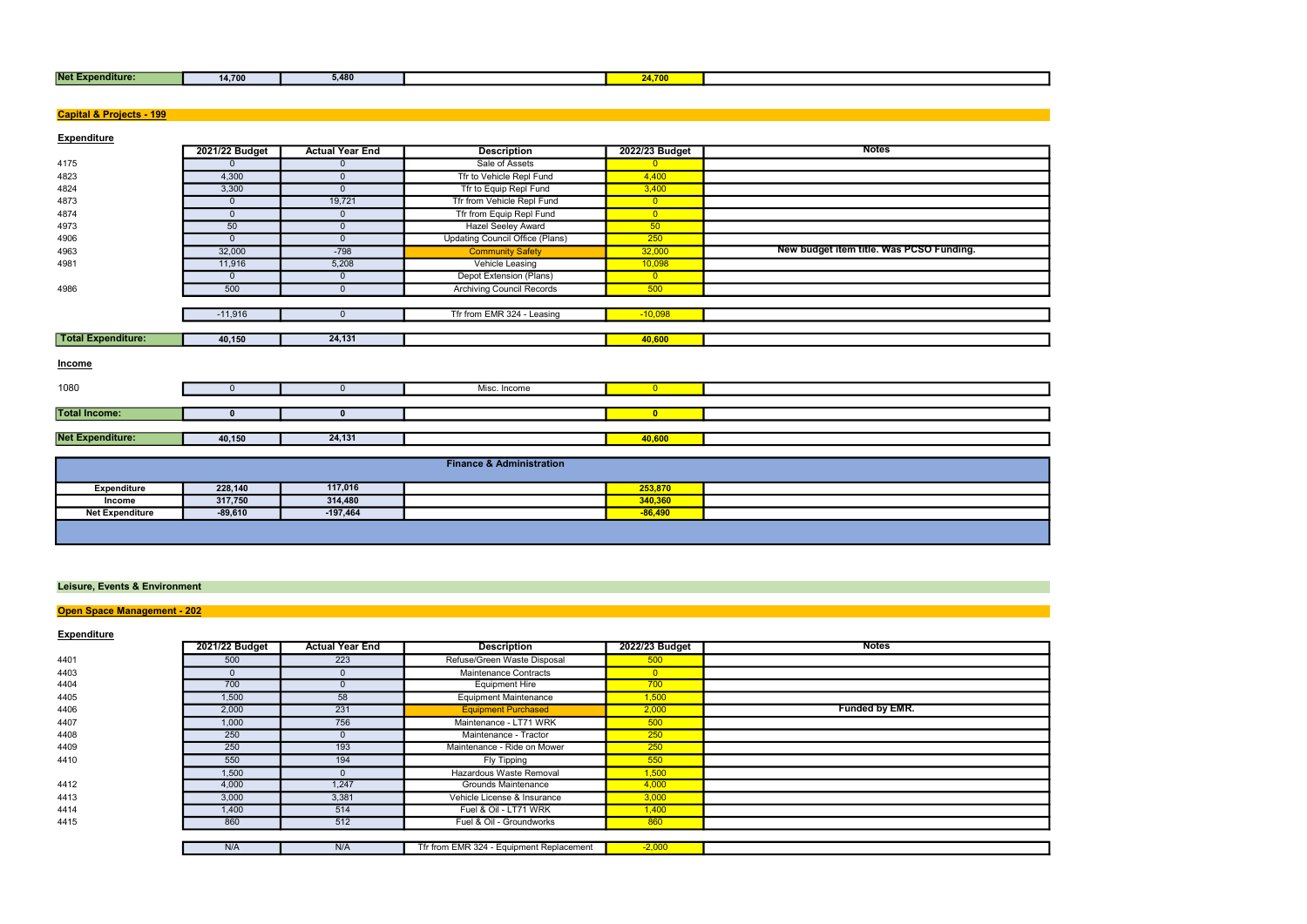| <b>Net Expenditure:</b> | 14,700 | 5.480 | <b>ALCOHOL:</b> |  |
|-------------------------|--------|-------|-----------------|--|
|                         |        |       |                 |  |

| <b>Net Expenditure:</b>                  | 14,700               | 5,480                  |                                        | 24,700               |                                          |
|------------------------------------------|----------------------|------------------------|----------------------------------------|----------------------|------------------------------------------|
|                                          |                      |                        |                                        |                      |                                          |
| <b>Capital &amp; Projects - 199</b>      |                      |                        |                                        |                      |                                          |
|                                          |                      |                        |                                        |                      |                                          |
| <b>Expenditure</b>                       |                      |                        |                                        |                      |                                          |
|                                          | 2021/22 Budget       | <b>Actual Year End</b> | <b>Description</b>                     | 2022/23 Budget       | <b>Notes</b>                             |
| 4175                                     | $\mathbf{0}$         | $\mathbf 0$            | Sale of Assets                         | $\overline{0}$       |                                          |
| 4823                                     | 4,300                | $\mathbf 0$            | Tfr to Vehicle Repl Fund               | 4,400                |                                          |
| 4824                                     | 3,300                | $\mathbf 0$            | Tfr to Equip Repl Fund                 | 3,400                |                                          |
| 4873                                     | $\overline{0}$       | 19,721                 | Tfr from Vehicle Repl Fund             | $\overline{0}$       |                                          |
| 4874                                     | $\mathbf{0}$         | $\mathbf 0$            | Tfr from Equip Repl Fund               | $\overline{0}$       |                                          |
| 4973                                     | 50                   | $\mathbf 0$            | <b>Hazel Seeley Award</b>              | 50                   |                                          |
| 4906                                     | $\mathbf 0$          | $\overline{0}$         | <b>Updating Council Office (Plans)</b> | 250                  |                                          |
| 4963                                     | 32,000               | $-798$                 | <b>Community Safety</b>                | 32,000               | New budget item title. Was PCSO Funding. |
| 4981                                     | 11,916               | 5,208                  | Vehicle Leasing                        | 10,098               |                                          |
|                                          | $\overline{0}$       | $\mathbf 0$            | Depot Extension (Plans)                | $\overline{0}$       |                                          |
| 4986                                     | 500                  | $\mathbf 0$            | <b>Archiving Council Records</b>       | 500                  |                                          |
|                                          | $-11,916$            | $\mathbf 0$            | Tfr from EMR 324 - Leasing             | $-10,098$            |                                          |
|                                          |                      |                        |                                        |                      |                                          |
| <b>Total Expenditure:</b>                | 40,150               | 24,131                 |                                        | 40,600               |                                          |
|                                          |                      |                        |                                        |                      |                                          |
| <b>Income</b>                            |                      |                        |                                        |                      |                                          |
|                                          |                      |                        |                                        |                      |                                          |
| 1080                                     | $\mathbf{0}$         | $\overline{0}$         | Misc. Income                           | $\overline{0}$       |                                          |
|                                          |                      |                        |                                        |                      |                                          |
| <b>Total Income:</b>                     | $\mathbf{0}$         | $\mathbf 0$            |                                        | $\bullet$            |                                          |
|                                          |                      |                        |                                        |                      |                                          |
| <b>Net Expenditure:</b>                  | 40,150               | 24,131                 |                                        | 40,600               |                                          |
|                                          |                      |                        |                                        |                      |                                          |
|                                          |                      |                        | <b>Finance &amp; Administration</b>    |                      |                                          |
|                                          |                      |                        |                                        |                      |                                          |
| <b>Expenditure</b>                       | 228,140              | 117,016<br>314,480     |                                        | 253,870              |                                          |
| Income<br><b>Net Expenditure</b>         | 317,750<br>$-89,610$ | $-197,464$             |                                        | 340,360<br>$-86,490$ |                                          |
|                                          |                      |                        |                                        |                      |                                          |
|                                          |                      |                        |                                        |                      |                                          |
|                                          |                      |                        |                                        |                      |                                          |
|                                          |                      |                        |                                        |                      |                                          |
|                                          |                      |                        |                                        |                      |                                          |
| <b>Leisure, Events &amp; Environment</b> |                      |                        |                                        |                      |                                          |
|                                          |                      |                        |                                        |                      |                                          |
| Open Space Management - 202              |                      |                        |                                        |                      |                                          |
|                                          |                      |                        |                                        |                      |                                          |
| <b>Expenditure</b>                       | 2021/22 Budget       | <b>Actual Year End</b> | <b>Description</b>                     | 2022/23 Budget       | <b>Notes</b>                             |
| 4401                                     | 500                  | 223                    | Refuse/Green Waste Disposal            | 500                  |                                          |
| 4403                                     | $\mathbf 0$          | $\mathbf 0$            | Maintenance Contracts                  | $\overline{0}$       |                                          |
| 4404                                     | 700                  | $\mathbf 0$            | <b>Equipment Hire</b>                  | 700                  |                                          |
| 4405                                     | 1,500                | 58                     | <b>Equipment Maintenance</b>           | 1,500                |                                          |
| 4406                                     | 2,000                | 231                    | <b>Equipment Purchased</b>             | 2,000                | Funded by EMR.                           |
| 4407                                     | 1,000                | 756                    | Maintenance - LT71 WRK                 | 500                  |                                          |
| 4408                                     | 250                  | $\overline{0}$         | Maintenance - Tractor                  | 250                  |                                          |
| 4409                                     | 250                  | 193                    | Maintenance - Ride on Mower            | 250                  |                                          |
| 4410                                     | 550                  | 194                    | <b>Fly Tipping</b>                     | 550                  |                                          |
|                                          | 1,500                | $\mathbf 0$            | Hazardous Waste Removal                | 1,500                |                                          |
| 4412                                     | 4,000                | 1,247                  | <b>Grounds Maintenance</b>             | 4,000                |                                          |
| 4413                                     | 3,000                | 3,381                  | Vehicle License & Insurance            | 3,000                |                                          |
| 4414                                     | 1,400                | 514                    | Fuel & Oil - LT71 WRK                  | 1,400                |                                          |
| 4415                                     | 860                  | 512                    | Fuel & Oil - Groundworks               | 860                  |                                          |
|                                          |                      |                        |                                        |                      |                                          |
|                                          |                      |                        |                                        |                      |                                          |

|      | 2021/22 Budget | <b>Actual Year End</b> | <b>Description</b>                       | 2022/23 Budget | <b>Notes</b>   |
|------|----------------|------------------------|------------------------------------------|----------------|----------------|
| 4401 | 500            | 223                    | Refuse/Green Waste Disposal              | 500            |                |
| 4403 |                |                        | <b>Maintenance Contracts</b>             | $\overline{0}$ |                |
| 4404 | 700            |                        | <b>Equipment Hire</b>                    | 700            |                |
| 4405 | 1,500          | 58                     | <b>Equipment Maintenance</b>             | 1,500          |                |
| 4406 | 2,000          | 231                    | <b>Equipment Purchased</b>               | 2,000          | Funded by EMR. |
| 4407 | 1,000          | 756                    | Maintenance - LT71 WRK                   | 500            |                |
| 4408 | 250            |                        | Maintenance - Tractor                    | 250            |                |
| 4409 | 250            | 193                    | Maintenance - Ride on Mower              | 250            |                |
| 4410 | 550            | 194                    | <b>Fly Tipping</b>                       | 550            |                |
|      | 1,500          |                        | Hazardous Waste Removal                  | 1,500          |                |
| 4412 | 4,000          | 1,247                  | Grounds Maintenance                      | 4,000          |                |
| 4413 | 3,000          | 3,381                  | Vehicle License & Insurance              | 3,000          |                |
| 4414 | 1,400          | 514                    | Fuel & Oil - LT71 WRK                    | 1,400          |                |
| 4415 | 860            | 512                    | Fuel & Oil - Groundworks                 | 860            |                |
|      |                |                        |                                          |                |                |
|      | N/A            | N/A                    | Tfr from EMR 324 - Equipment Replacement | $-2,000$       |                |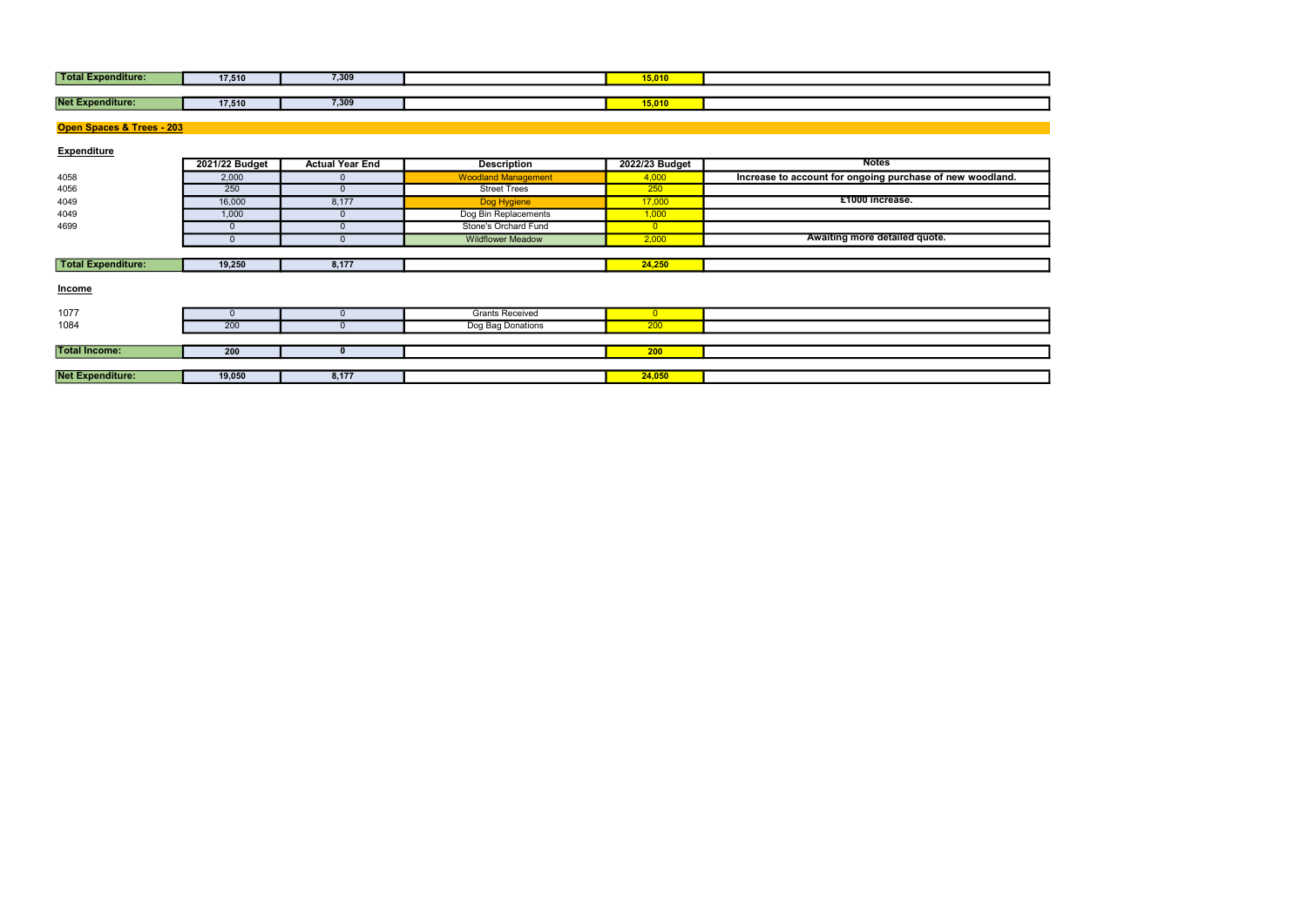| Total E<br>sxpenditure: | 17,510 | 7,309 | 15,010 |  |
|-------------------------|--------|-------|--------|--|
|                         |        |       |        |  |
| <b>Net Expenditure:</b> | 17,510 | 7,309 | 15,010 |  |

| <b>Total Expenditure:</b> | 17,510         | 7,309                  |                            | 15,010         |                                                           |
|---------------------------|----------------|------------------------|----------------------------|----------------|-----------------------------------------------------------|
|                           |                |                        |                            |                |                                                           |
| <b>Net Expenditure:</b>   | 17,510         | 7,309                  |                            | 15,010         |                                                           |
|                           |                |                        |                            |                |                                                           |
| Open Spaces & Trees - 203 |                |                        |                            |                |                                                           |
|                           |                |                        |                            |                |                                                           |
| <b>Expenditure</b>        |                |                        |                            |                |                                                           |
|                           | 2021/22 Budget | <b>Actual Year End</b> | <b>Description</b>         | 2022/23 Budget | <b>Notes</b>                                              |
| 4058                      | 2,000          |                        | <b>Woodland Management</b> | 4,000          | Increase to account for ongoing purchase of new woodland. |
| 4056                      | 250            | $\Omega$               | <b>Street Trees</b>        | 250            |                                                           |
| 4049                      | 16,000         | 8,177                  | Dog Hygiene                | 17,000         | £1000 increase.                                           |
| 4049                      | 1,000          | $\Omega$               | Dog Bin Replacements       | 1,000          |                                                           |
| 4699                      | $\mathbf 0$    |                        | Stone's Orchard Fund       | $\overline{0}$ |                                                           |
|                           | $\Omega$       | $\Omega$               | <b>Wildflower Meadow</b>   | 2,000          | Awaiting more detailed quote.                             |
|                           |                |                        |                            |                |                                                           |
| <b>Total Expenditure:</b> | 19,250         | 8,177                  |                            | 24,250         |                                                           |
|                           |                |                        |                            |                |                                                           |
| <b>Income</b>             |                |                        |                            |                |                                                           |
|                           |                |                        |                            |                |                                                           |
| 1077                      | $\mathbf{0}$   |                        | <b>Grants Received</b>     | $\overline{0}$ |                                                           |
| 1084                      | 200            |                        | Dog Bag Donations          | 200            |                                                           |
|                           |                |                        |                            |                |                                                           |
| <b>Total Income:</b>      | 200            | $\bf{0}$               |                            | 200            |                                                           |
|                           |                |                        |                            |                |                                                           |
| <b>Net Expenditure:</b>   | 19,050         | 8,177                  |                            | 24,050         |                                                           |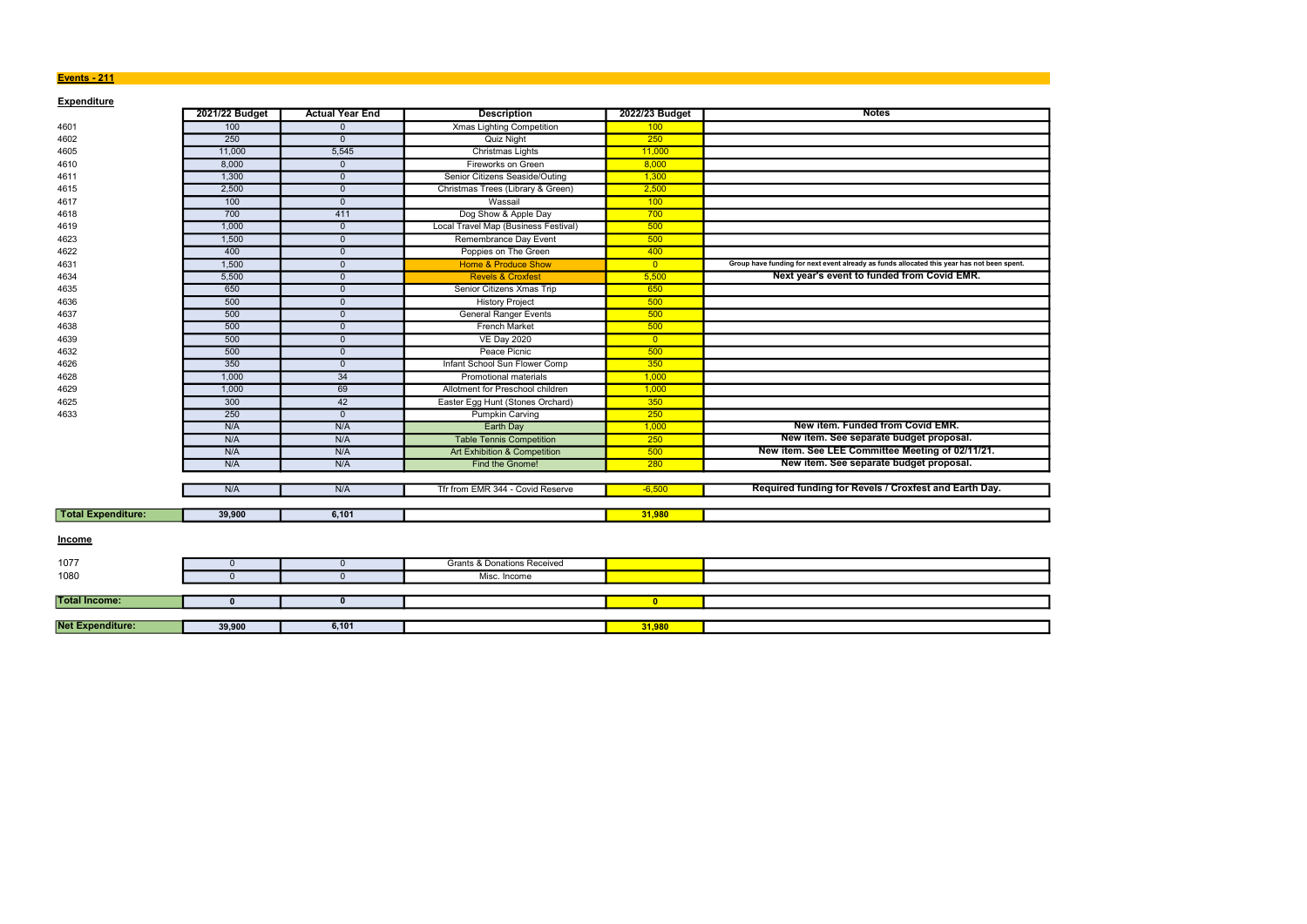### **Events - 211**

| <b>Expenditure</b>        | 2021/22 Budget | <b>Actual Year End</b> | <b>Description</b>                     | 2022/23 Budget          | <b>Notes</b>                                                                               |
|---------------------------|----------------|------------------------|----------------------------------------|-------------------------|--------------------------------------------------------------------------------------------|
| 4601                      | 100            | $\mathbf{0}$           | <b>Xmas Lighting Competition</b>       | 100                     |                                                                                            |
| 4602                      | 250            | $\mathbf{0}$           | <b>Quiz Night</b>                      | 250                     |                                                                                            |
| 4605                      | 11,000         | 5,545                  | Christmas Lights                       | 11,000                  |                                                                                            |
| 4610                      | 8,000          | $\overline{0}$         | Fireworks on Green                     | 8,000                   |                                                                                            |
| 4611                      | 1,300          | $\mathbf 0$            | Senior Citizens Seaside/Outing         | 1,300                   |                                                                                            |
| 4615                      | 2,500          | $\mathbf{0}$           | Christmas Trees (Library & Green)      | 2,500                   |                                                                                            |
| 4617                      | 100            | $\Omega$               | Wassail                                | 100                     |                                                                                            |
| 4618                      | 700            | 411                    | Dog Show & Apple Day                   | 700                     |                                                                                            |
| 4619                      | 1,000          | $\overline{0}$         | Local Travel Map (Business Festival)   | 500                     |                                                                                            |
| 4623                      | 1,500          | $\mathbf{0}$           | Remembrance Day Event                  | 500                     |                                                                                            |
| 4622                      | 400            | $\overline{0}$         | Poppies on The Green                   | 400                     |                                                                                            |
| 4631                      | 1,500          | $\mathbf{0}$           | <b>Home &amp; Produce Show</b>         | $\overline{0}$          | Group have funding for next event already as funds allocated this year has not been spent. |
| 4634                      | 5,500          | $\mathbf{0}$           | <b>Revels &amp; Croxfest</b>           | 5,500                   | Next year's event to funded from Covid EMR.                                                |
| 4635                      | 650            | $\overline{0}$         | Senior Citizens Xmas Trip              | 650                     |                                                                                            |
| 4636                      | 500            | $\mathbf 0$            | <b>History Project</b>                 | 500                     |                                                                                            |
| 4637                      | 500            | $\mathbf{0}$           | <b>General Ranger Events</b>           | 500                     |                                                                                            |
| 4638                      | 500            | $\Omega$               | <b>French Market</b>                   | 500                     |                                                                                            |
| 4639                      | 500            | $\Omega$               | <b>VE Day 2020</b>                     | $\overline{0}$          |                                                                                            |
| 4632                      | 500            | $\mathbf{0}$           | Peace Picnic                           | 500                     |                                                                                            |
| 4626                      | 350            | $\overline{0}$         | Infant School Sun Flower Comp          | 350                     |                                                                                            |
| 4628                      | 1,000          | 34                     | Promotional materials                  | 1,000                   |                                                                                            |
| 4629                      | 1,000          | 69                     | Allotment for Preschool children       | 1,000                   |                                                                                            |
| 4625                      | 300            | 42                     | Easter Egg Hunt (Stones Orchard)       | 350                     |                                                                                            |
| 4633                      | 250            | $\overline{0}$         | <b>Pumpkin Carving</b>                 | 250                     |                                                                                            |
|                           | N/A            | N/A                    | <b>Earth Day</b>                       | 1,000                   | New item. Funded from Covid EMR.                                                           |
|                           | N/A            | N/A                    | <b>Table Tennis Competition</b>        | 250                     | New item. See separate budget proposal.                                                    |
|                           | N/A            | N/A                    | Art Exhibition & Competition           | 500                     | New item. See LEE Committee Meeting of 02/11/21.                                           |
|                           | N/A            | N/A                    | Find the Gnome!                        | 280                     | New item. See separate budget proposal.                                                    |
|                           |                |                        |                                        |                         |                                                                                            |
|                           | N/A            | N/A                    | Tfr from EMR 344 - Covid Reserve       | $-6,500$                | Required funding for Revels / Croxfest and Earth Day.                                      |
|                           |                |                        |                                        |                         |                                                                                            |
| <b>Total Expenditure:</b> | 39,900         | 6,101                  |                                        | 31,980                  |                                                                                            |
|                           |                |                        |                                        |                         |                                                                                            |
| <b>Income</b>             |                |                        |                                        |                         |                                                                                            |
| 1077                      | $\mathbf{0}$   | $\overline{0}$         | <b>Grants &amp; Donations Received</b> |                         |                                                                                            |
| 1080                      | $\Omega$       | $\mathbf 0$            | Misc. Income                           |                         |                                                                                            |
|                           |                |                        |                                        |                         |                                                                                            |
| <b>Total Income:</b>      | $\mathbf{0}$   | $\mathbf{0}$           |                                        | $\overline{\mathbf{0}}$ |                                                                                            |
|                           |                |                        |                                        |                         |                                                                                            |
| <b>Net Expenditure:</b>   | 39,900         | 6,101                  |                                        | 31,980                  |                                                                                            |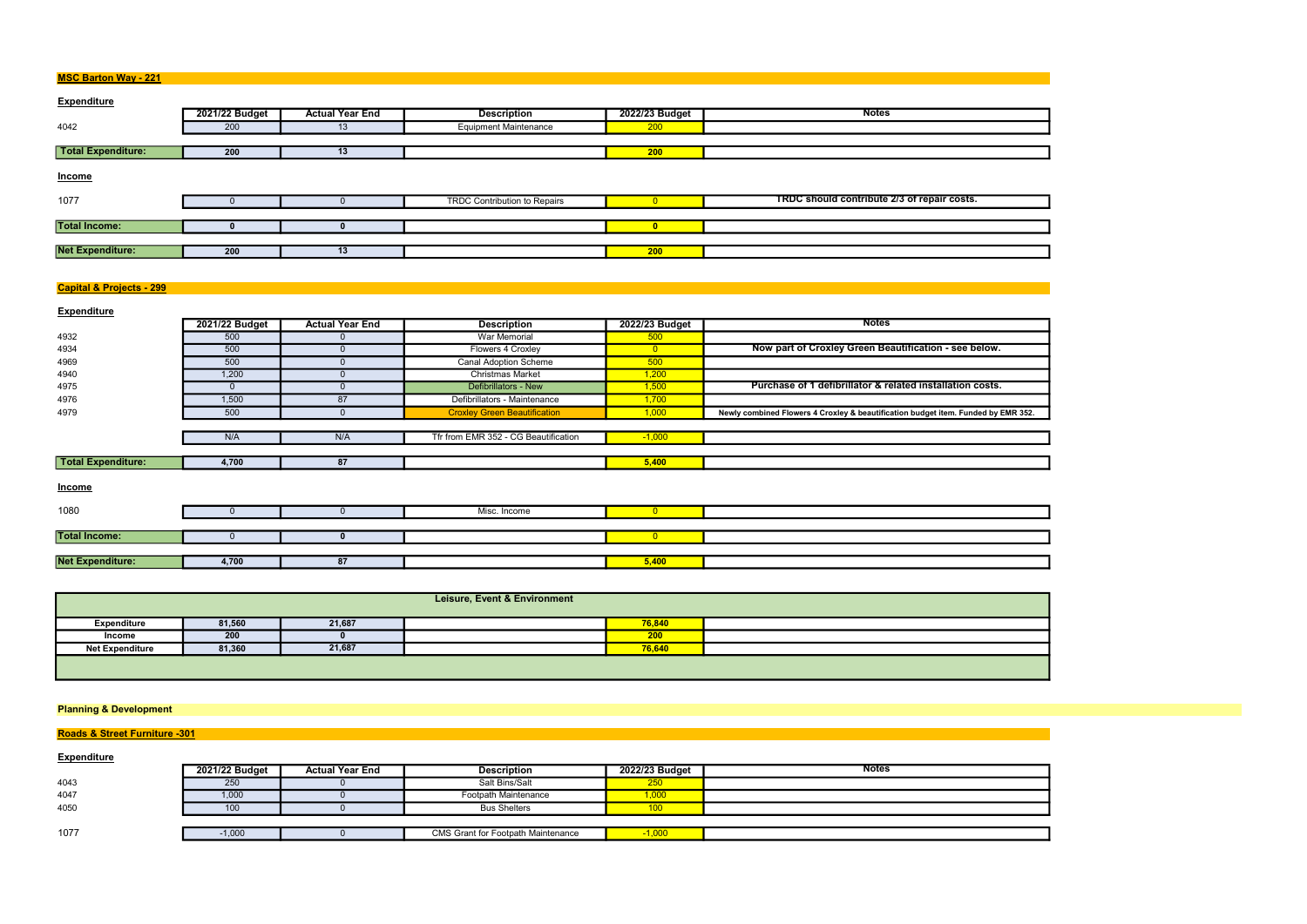| <b>MSC Barton Way - 221</b> |
|-----------------------------|
|-----------------------------|

| <b>Expenditure</b>      |                |                        |                                     |                |                                             |
|-------------------------|----------------|------------------------|-------------------------------------|----------------|---------------------------------------------|
|                         | 2021/22 Budget | <b>Actual Year End</b> | <b>Description</b>                  | 2022/23 Budget | <b>Notes</b>                                |
| 4042                    | 200            | 13                     | <b>Equipment Maintenance</b>        | 200            |                                             |
|                         |                |                        |                                     |                |                                             |
| Total Expenditure:      | 200            | 13                     |                                     | 200            |                                             |
| Income                  |                |                        |                                     |                |                                             |
| 1077                    |                |                        | <b>TRDC Contribution to Repairs</b> |                | TRDC should contribute 2/3 of repair costs. |
|                         |                |                        |                                     |                |                                             |
| <b>Total Income:</b>    |                |                        |                                     |                |                                             |
|                         |                |                        |                                     |                |                                             |
| <b>Net Expenditure:</b> | 200            | 13                     |                                     | 200            |                                             |

## Capital & Projects - 299

| <b>Expenditure</b>        |                |                        |                                      |                |                                                                                   |
|---------------------------|----------------|------------------------|--------------------------------------|----------------|-----------------------------------------------------------------------------------|
|                           | 2021/22 Budget | <b>Actual Year End</b> | <b>Description</b>                   | 2022/23 Budget | <b>Notes</b>                                                                      |
| 4932                      | 500            |                        | War Memorial                         | 500            |                                                                                   |
| 4934                      | 500            |                        | Flowers 4 Croxley                    | $\overline{0}$ | Now part of Croxley Green Beautification - see below.                             |
| 4969                      | 500            |                        | <b>Canal Adoption Scheme</b>         | 500            |                                                                                   |
| 4940                      | 1,200          |                        | <b>Christmas Market</b>              | 1,200          |                                                                                   |
| 4975                      | $\Omega$       | $\Omega$               | Defibrillators - New                 | 1,500          | Purchase of 1 defibrillator & related installation costs.                         |
| 4976                      | 1,500          | 87                     | Defibrillators - Maintenance         | 1,700          |                                                                                   |
| 4979                      | 500            |                        | <b>Croxley Green Beautification</b>  | 1,000          | Newly combined Flowers 4 Croxley & beautification budget item. Funded by EMR 352. |
|                           |                |                        |                                      |                |                                                                                   |
|                           | N/A            | N/A                    | Tfr from EMR 352 - CG Beautification | $-1,000$       |                                                                                   |
|                           |                |                        |                                      |                |                                                                                   |
| <b>Total Expenditure:</b> | 4,700          | 87                     |                                      | 5,400          |                                                                                   |
| Income                    |                |                        |                                      |                |                                                                                   |
| 1080                      | <sup>0</sup>   |                        | Misc. Income                         | $\overline{0}$ |                                                                                   |
|                           |                |                        |                                      |                |                                                                                   |
| <b>Total Income:</b>      | $\Omega$       |                        |                                      | $\overline{0}$ |                                                                                   |
|                           |                |                        |                                      |                |                                                                                   |
| <b>Net Expenditure:</b>   | 4,700          | 87                     |                                      | 5,400          |                                                                                   |

| <b>Leisure, Event &amp; Environment</b> |        |        |  |        |  |  |
|-----------------------------------------|--------|--------|--|--------|--|--|
| Expenditure                             | 81,560 | 21,687 |  | 76,840 |  |  |
| Income                                  | 200    |        |  | 200    |  |  |
| <b>Net Expenditure</b>                  | 81,360 | 21,687 |  | 76,640 |  |  |
|                                         |        |        |  |        |  |  |

# Planning & Development

# **Roads & Street Furniture -301**

# **Expenditure**

|      | 2021/22 Budget | <b>Actual Year End</b> | <b>Description</b>                        | 2022/23 Budget | <b>Notes</b> |
|------|----------------|------------------------|-------------------------------------------|----------------|--------------|
| 4043 | 250            |                        | Salt Bins/Salt                            | <b>250</b>     |              |
| 4047 | 1,000          |                        | Footpath Maintenance                      | 1,000          |              |
| 4050 | 100            |                        | <b>Bus Shelters</b>                       | 100            |              |
|      |                |                        |                                           |                |              |
| 1077 | .1,000         |                        | <b>CMS Grant for Footpath Maintenance</b> | $-1,000$       |              |

|  |                          | $\mathbb{R}^2$           |
|--|--------------------------|--------------------------|
|  |                          |                          |
|  |                          |                          |
|  |                          |                          |
|  |                          |                          |
|  |                          |                          |
|  |                          |                          |
|  | $\overline{\phantom{0}}$ |                          |
|  |                          |                          |
|  |                          |                          |
|  |                          |                          |
|  |                          |                          |
|  |                          |                          |
|  |                          |                          |
|  |                          | $\overline{\phantom{a}}$ |

| v EMR 3 |  |
|---------|--|
|         |  |





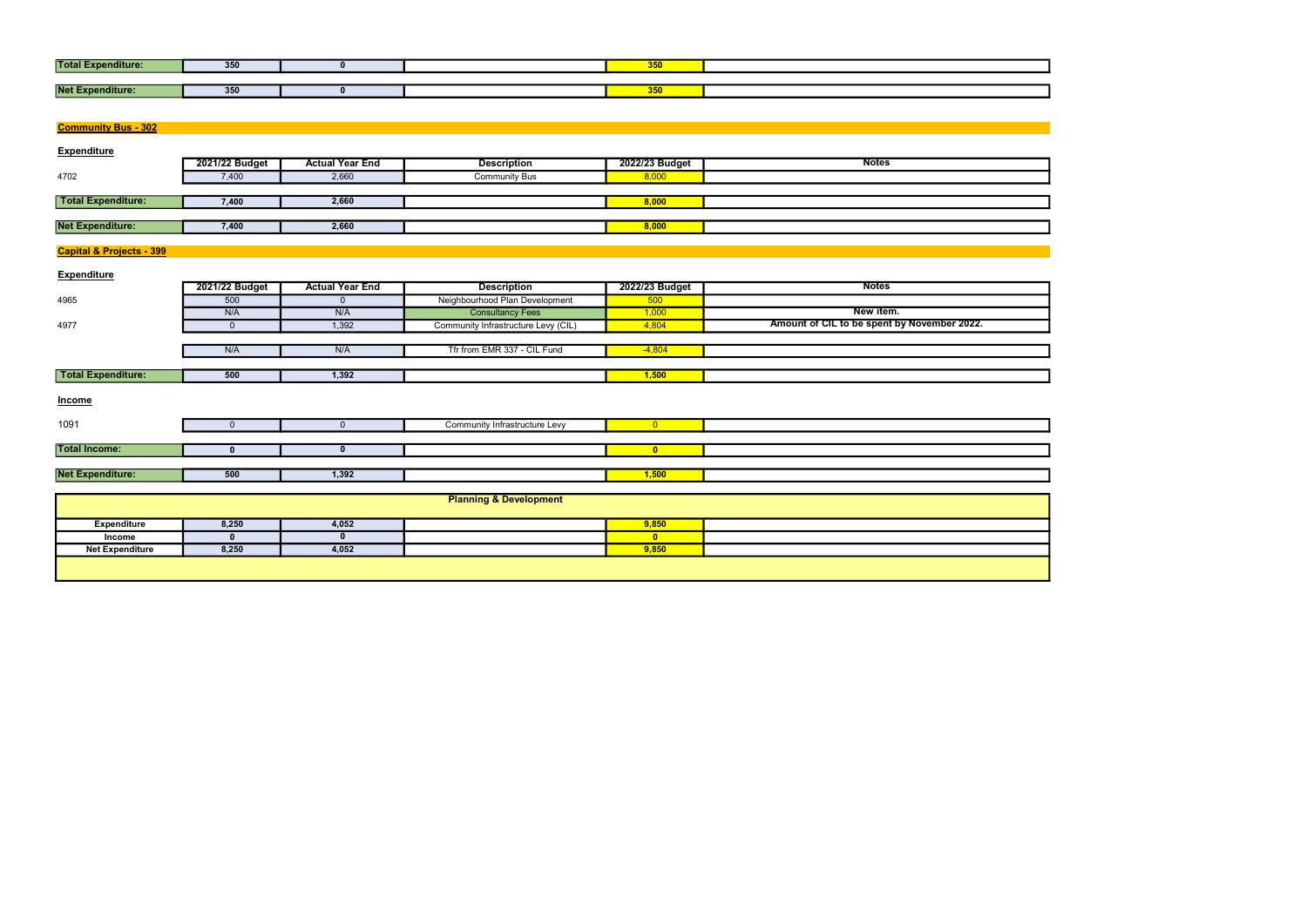| <b>Total E</b><br>xpenditure: | 350 |  | $- - -$<br><b>350</b> |  |
|-------------------------------|-----|--|-----------------------|--|
|                               |     |  |                       |  |
| <b>Net Ex</b><br>nditure:     | 350 |  | $- -$<br>350          |  |

| <b>Total Expenditure:</b>           | 350            | $\mathbf{0}$           |                                     | 350            |                                             |
|-------------------------------------|----------------|------------------------|-------------------------------------|----------------|---------------------------------------------|
|                                     |                |                        |                                     |                |                                             |
| <b>Net Expenditure:</b>             | 350            | $\mathbf 0$            |                                     | 350            |                                             |
|                                     |                |                        |                                     |                |                                             |
|                                     |                |                        |                                     |                |                                             |
| <b>Community Bus - 302</b>          |                |                        |                                     |                |                                             |
| <b>Expenditure</b>                  |                |                        |                                     |                |                                             |
|                                     | 2021/22 Budget | <b>Actual Year End</b> | <b>Description</b>                  | 2022/23 Budget | <b>Notes</b>                                |
| 4702                                | 7,400          | 2,660                  | <b>Community Bus</b>                | 8,000          |                                             |
|                                     |                |                        |                                     |                |                                             |
| <b>Total Expenditure:</b>           | 7,400          | 2,660                  |                                     | 8,000          |                                             |
|                                     |                |                        |                                     |                |                                             |
| <b>Net Expenditure:</b>             | 7,400          | 2,660                  |                                     | 8,000          |                                             |
|                                     |                |                        |                                     |                |                                             |
| <b>Capital &amp; Projects - 399</b> |                |                        |                                     |                |                                             |
|                                     |                |                        |                                     |                |                                             |
| <b>Expenditure</b>                  | 2021/22 Budget | <b>Actual Year End</b> | <b>Description</b>                  | 2022/23 Budget | <b>Notes</b>                                |
|                                     | 500            |                        | Neighbourhood Plan Development      |                |                                             |
| 4965                                | N/A            | $\overline{0}$<br>N/A  | <b>Consultancy Fees</b>             | 500<br>1,000   | New item.                                   |
| 4977                                | $\mathbf{0}$   | 1,392                  | Community Infrastructure Levy (CIL) | 4,804          | Amount of CIL to be spent by November 2022. |
|                                     |                |                        |                                     |                |                                             |
|                                     | N/A            | N/A                    | Tfr from EMR 337 - CIL Fund         | $-4,804$       |                                             |
|                                     |                |                        |                                     |                |                                             |
| <b>Total Expenditure:</b>           | 500            | 1,392                  |                                     | 1,500          |                                             |
|                                     |                |                        |                                     |                |                                             |
| <b>Income</b>                       |                |                        |                                     |                |                                             |
|                                     |                |                        |                                     |                |                                             |
| 1091                                | $\mathbf 0$    | $\overline{0}$         | Community Infrastructure Levy       | $\overline{0}$ |                                             |
|                                     |                |                        |                                     |                |                                             |
| <b>Total Income:</b>                | $\mathbf 0$    | $\mathbf 0$            |                                     | $\bullet$      |                                             |
|                                     |                |                        |                                     |                |                                             |
| <b>Net Expenditure:</b>             | 500            | 1,392                  |                                     | 1,500          |                                             |
|                                     |                |                        |                                     |                |                                             |
|                                     |                |                        | <b>Planning &amp; Development</b>   |                |                                             |
| <b>Expenditure</b>                  | 8,250          | 4,052                  |                                     | 9,850          |                                             |
| Income                              | $\mathbf{0}$   | $\mathbf 0$            |                                     | $\mathbf{0}$   |                                             |
| <b>Net Expenditure</b>              | 8,250          | 4,052                  |                                     | 9,850          |                                             |
|                                     |                |                        |                                     |                |                                             |
|                                     |                |                        |                                     |                |                                             |
|                                     |                |                        |                                     |                |                                             |